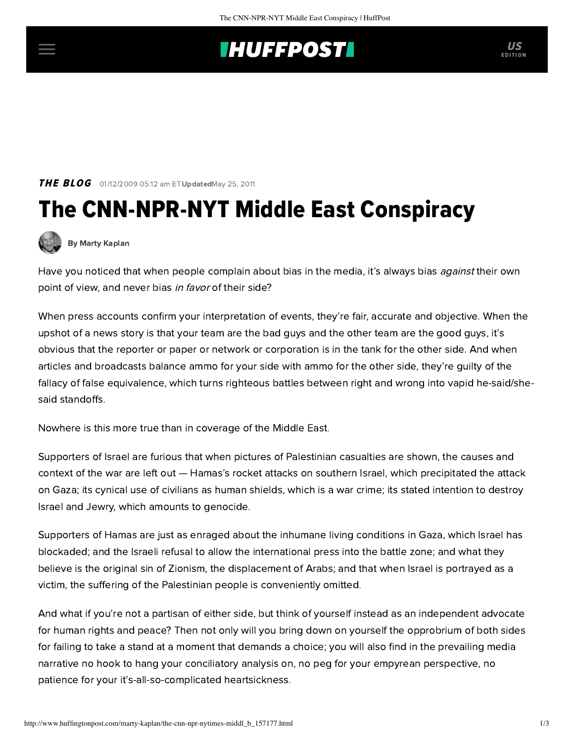## **INUFFPOST**

**THE BLOG** 01/12/2009 05:12 am ET UpdatedMay 25, 2011

# The CNN-NPR-NYT Middle East Conspiracy



[By Marty Kaplan](http://www.huffingtonpost.com/author/marty-kaplan)

Have you noticed that when people complain about bias in the media, it's always bias *against* their own point of view, and never bias in favor of their side?

When press accounts confirm your interpretation of events, they're fair, accurate and objective. When the upshot of a news story is that your team are the bad guys and the other team are the good guys, it's obvious that the reporter or paper or network or corporation is in the tank for the other side. And when articles and broadcasts balance ammo for your side with ammo for the other side, they're guilty of the fallacy of false equivalence, which turns righteous battles between right and wrong into vapid he-said/shesaid standoffs.

Nowhere is this more true than in coverage of the Middle East.

Supporters of Israel are furious that when pictures of Palestinian casualties are shown, the causes and context of the war are left out — Hamas's rocket attacks on southern Israel, which precipitated the attack on Gaza; its cynical use of civilians as human shields, which is a war crime; its stated intention to destroy Israel and Jewry, which amounts to genocide.

Supporters of Hamas are just as enraged about the inhumane living conditions in Gaza, which Israel has blockaded; and the Israeli refusal to allow the international press into the battle zone; and what they believe is the original sin of Zionism, the displacement of Arabs; and that when Israel is portrayed as a victim, the suffering of the Palestinian people is conveniently omitted.

And what if you're not a partisan of either side, but think of yourself instead as an independent advocate for human rights and peace? Then not only will you bring down on yourself the opprobrium of both sides for failing to take a stand at a moment that demands a choice; you will also find in the prevailing media narrative no hook to hang your conciliatory analysis on, no peg for your empyrean perspective, no patience for your it's-all-so-complicated heartsickness.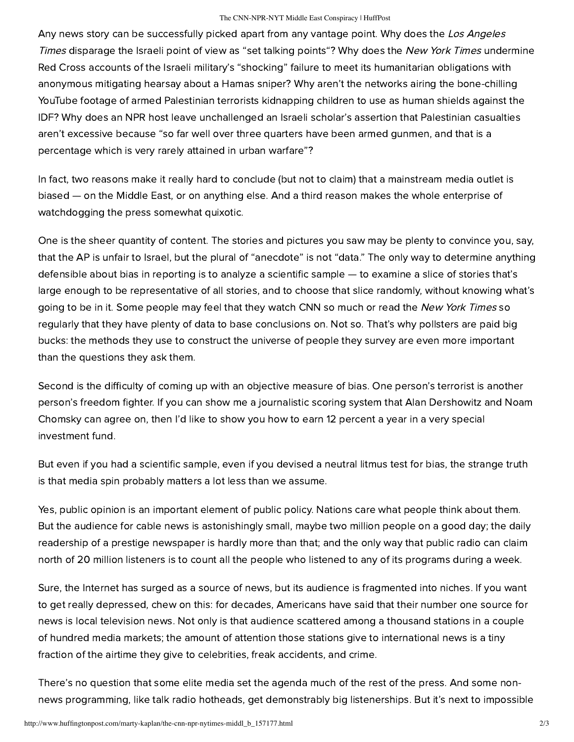#### The CNN-NPR-NYT Middle East Conspiracy | HuffPost

Any news story can be successfully picked apart from any vantage point. Why does the Los Angeles Times disparage the Israeli point of view as ["set talking points](http://www.latimes.com/news/nationworld/world/middleeast/la-fg-israel-pr9-2009jan09,0,2505389.story)"? Why does the New York Times undermine Red Cross accounts of the Israeli military's "shocking" failure to meet its humanitarian obligations with [anonymous mitigating hearsay](http://www.nytimes.com/2009/01/09/world/middleeast/09mideast.html?partner=rss&emc=rss) about a Hamas sniper? Why aren't the networks airing the bone-chilling [YouTube footage of armed Palestinian terrorists kidnapping children to use as human shields against th](http://www.youtube.com/watch?v=OefgMtXOc1M)e IDF? Why does an NPR host leave unchallenged an [Israeli scholar's assertion](http://www.npr.org/templates/story/story.php?storyId=99002584) that Palestinian casualties aren't excessive because "so far well over three quarters have been armed gunmen, and that is a percentage which is very rarely attained in urban warfare"?

In fact, two reasons make it really hard to conclude (but not to claim) that a mainstream media outlet is biased — on the Middle East, or on anything else. And a third reason makes the whole enterprise of watchdogging the press somewhat quixotic.

One is the sheer quantity of content. The stories and pictures you saw may be plenty to convince you, say, that the AP is unfair to Israel, but the plural of "anecdote" is not "data." The only way to determine anything defensible about bias in reporting is to analyze a scientific sample — to examine a slice of stories that's large enough to be representative of all stories, and to choose that slice randomly, without knowing what's going to be in it. Some people may feel that they watch CNN so much or read the New York Times so regularly that they have plenty of data to base conclusions on. Not so. That's why pollsters are paid big bucks: the methods they use to construct the universe of people they survey are even more important than the questions they ask them.

Second is the difficulty of coming up with an objective measure of bias. One person's terrorist is another person's freedom fighter. If you can show me a journalistic scoring system that Alan Dershowitz and Noam Chomsky can agree on, then I'd like to show you how to earn 12 percent a year in a very special investment fund.

But even if you had a scientific sample, even if you devised a neutral litmus test for bias, the strange truth is that media spin probably matters a lot less than we assume.

Yes, public opinion is an important element of public policy. Nations care what people think about them. But the audience for cable news is astonishingly small, maybe two million people on a good day; the daily readership of a prestige newspaper is hardly more than that; and the only way that public radio can claim north of 20 million listeners is to count all the people who listened to any of its programs during a week.

Sure, the Internet has surged as a source of news, but its audience is fragmented into niches. If you want to get really depressed, chew on this: for decades, Americans have said that their number one source for news is local television news. Not only is that audience scattered among a thousand stations in a couple of hundred media markets; the amount of attention those stations give to international news is a tiny fraction of the airtime they give to celebrities, freak accidents, and crime.

There's no question that some elite media set the agenda much of the rest of the press. And some nonnews programming, like talk radio hotheads, get demonstrably big listenerships. But it's next to impossible